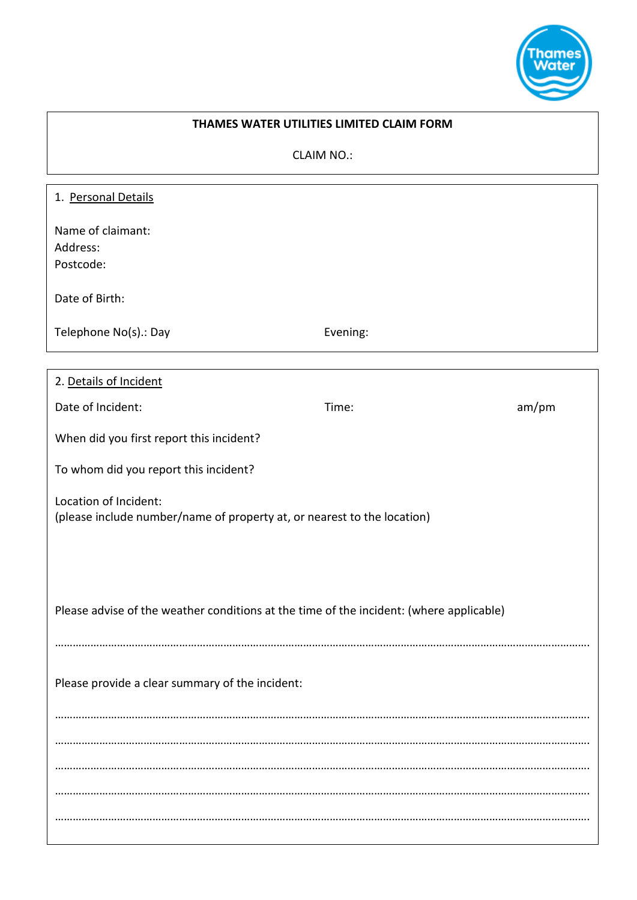

## **THAMES WATER UTILITIES LIMITED CLAIM FORM**

CLAIM NO.:

| 1. Personal Details                                                                              |          |       |
|--------------------------------------------------------------------------------------------------|----------|-------|
| Name of claimant:<br>Address:<br>Postcode:                                                       |          |       |
| Date of Birth:                                                                                   |          |       |
| Telephone No(s).: Day                                                                            | Evening: |       |
|                                                                                                  |          |       |
| 2. Details of Incident                                                                           |          |       |
| Date of Incident:                                                                                | Time:    | am/pm |
| When did you first report this incident?                                                         |          |       |
| To whom did you report this incident?                                                            |          |       |
| Location of Incident:<br>(please include number/name of property at, or nearest to the location) |          |       |
|                                                                                                  |          |       |
| Please advise of the weather conditions at the time of the incident: (where applicable)          |          |       |
| Please provide a clear summary of the incident:                                                  |          |       |
|                                                                                                  |          |       |
|                                                                                                  |          |       |
|                                                                                                  |          |       |
|                                                                                                  |          |       |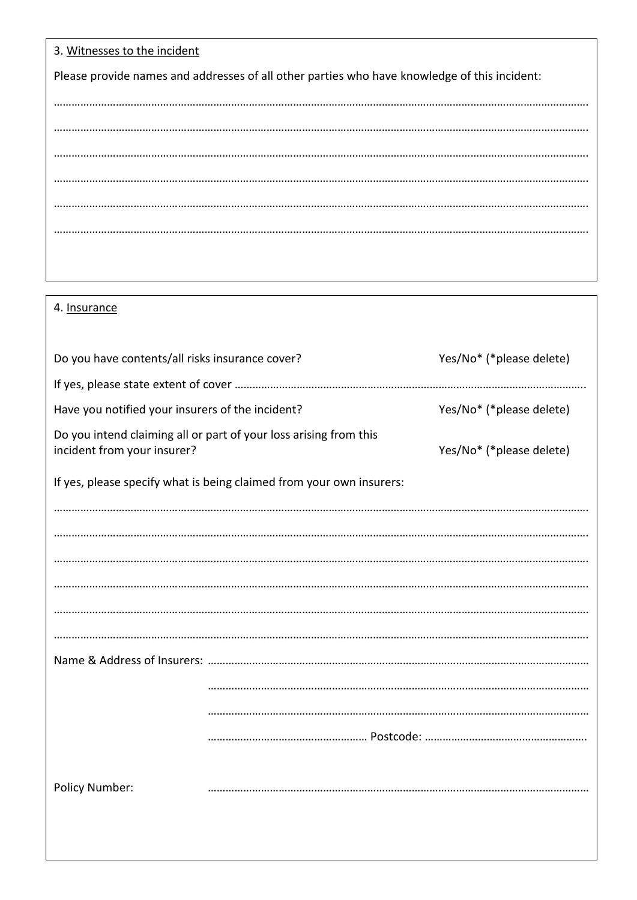| 3. Witnesses to the incident                                                                 |
|----------------------------------------------------------------------------------------------|
| Please provide names and addresses of all other parties who have knowledge of this incident: |
|                                                                                              |
|                                                                                              |
|                                                                                              |
|                                                                                              |
|                                                                                              |
|                                                                                              |
|                                                                                              |
|                                                                                              |

| 4. Insurance |
|--------------|
|--------------|

| Do you have contents/all risks insurance cover?                      |                                                                   | Yes/No* (*please delete) |  |
|----------------------------------------------------------------------|-------------------------------------------------------------------|--------------------------|--|
|                                                                      |                                                                   |                          |  |
| Have you notified your insurers of the incident?                     |                                                                   | Yes/No* (*please delete) |  |
| incident from your insurer?                                          | Do you intend claiming all or part of your loss arising from this | Yes/No* (*please delete) |  |
| If yes, please specify what is being claimed from your own insurers: |                                                                   |                          |  |
|                                                                      |                                                                   |                          |  |
|                                                                      |                                                                   |                          |  |
|                                                                      |                                                                   |                          |  |
|                                                                      |                                                                   |                          |  |
|                                                                      |                                                                   |                          |  |
|                                                                      |                                                                   |                          |  |
|                                                                      |                                                                   |                          |  |
|                                                                      |                                                                   |                          |  |
|                                                                      |                                                                   |                          |  |
|                                                                      |                                                                   |                          |  |
|                                                                      |                                                                   |                          |  |
| Policy Number:                                                       |                                                                   |                          |  |
|                                                                      |                                                                   |                          |  |
|                                                                      |                                                                   |                          |  |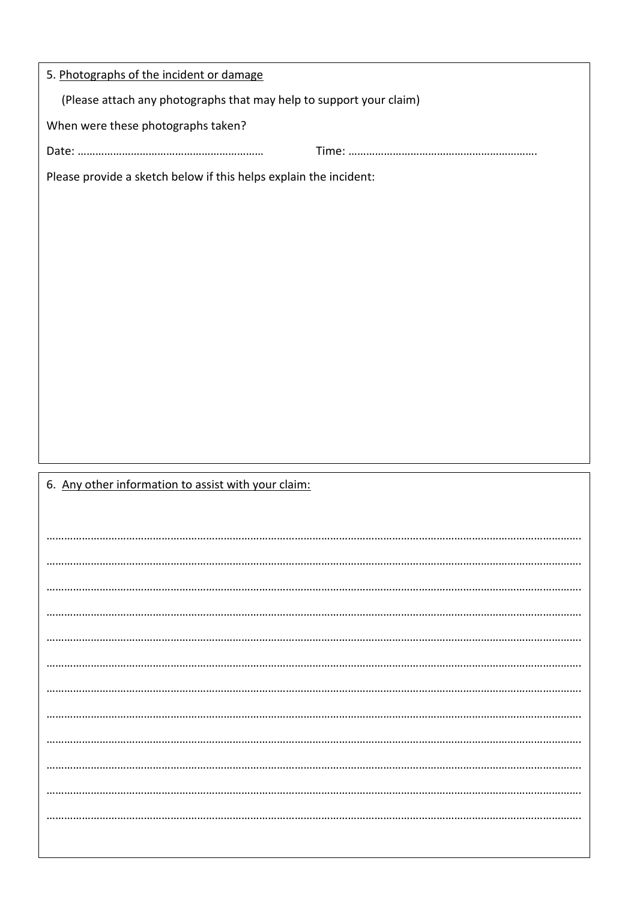| 5. Photographs of the incident or damage                            |  |  |
|---------------------------------------------------------------------|--|--|
| (Please attach any photographs that may help to support your claim) |  |  |
| When were these photographs taken?                                  |  |  |
|                                                                     |  |  |
| Please provide a sketch below if this helps explain the incident:   |  |  |
|                                                                     |  |  |
|                                                                     |  |  |
|                                                                     |  |  |
|                                                                     |  |  |
|                                                                     |  |  |
|                                                                     |  |  |
|                                                                     |  |  |
|                                                                     |  |  |
|                                                                     |  |  |
|                                                                     |  |  |
|                                                                     |  |  |
|                                                                     |  |  |
| 6. Any other information to assist with your claim:                 |  |  |
|                                                                     |  |  |
|                                                                     |  |  |
|                                                                     |  |  |
|                                                                     |  |  |
|                                                                     |  |  |
|                                                                     |  |  |
|                                                                     |  |  |
|                                                                     |  |  |
|                                                                     |  |  |
|                                                                     |  |  |
|                                                                     |  |  |
|                                                                     |  |  |
|                                                                     |  |  |
|                                                                     |  |  |
|                                                                     |  |  |